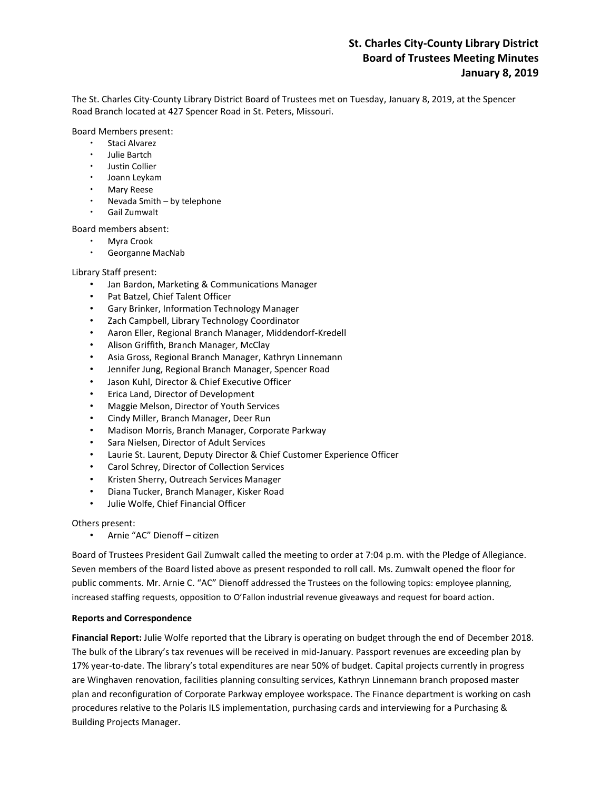# **St. Charles City-County Library District Board of Trustees Meeting Minutes January 8, 2019**

The St. Charles City-County Library District Board of Trustees met on Tuesday, January 8, 2019, at the Spencer Road Branch located at 427 Spencer Road in St. Peters, Missouri.

Board Members present:

- Staci Alvarez
- Julie Bartch
- **·** Justin Collier
- Joann Leykam
- Mary Reese
- Nevada Smith by telephone
- Gail Zumwalt
- Board members absent:
	- Myra Crook
	- Georganne MacNab

## Library Staff present:

- Jan Bardon, Marketing & Communications Manager
- Pat Batzel, Chief Talent Officer
- Gary Brinker, Information Technology Manager
- Zach Campbell, Library Technology Coordinator
- Aaron Eller, Regional Branch Manager, Middendorf-Kredell
- Alison Griffith, Branch Manager, McClay
- Asia Gross, Regional Branch Manager, Kathryn Linnemann
- Jennifer Jung, Regional Branch Manager, Spencer Road
- Jason Kuhl, Director & Chief Executive Officer
- Erica Land, Director of Development
- Maggie Melson, Director of Youth Services
- Cindy Miller, Branch Manager, Deer Run
- Madison Morris, Branch Manager, Corporate Parkway
- Sara Nielsen, Director of Adult Services
- Laurie St. Laurent, Deputy Director & Chief Customer Experience Officer
- Carol Schrey, Director of Collection Services
- Kristen Sherry, Outreach Services Manager
- Diana Tucker, Branch Manager, Kisker Road
- Julie Wolfe, Chief Financial Officer

## Others present:

• Arnie "AC" Dienoff – citizen

Board of Trustees President Gail Zumwalt called the meeting to order at 7:04 p.m. with the Pledge of Allegiance. Seven members of the Board listed above as present responded to roll call. Ms. Zumwalt opened the floor for public comments. Mr. Arnie C. "AC" Dienoff addressed the Trustees on the following topics: employee planning, increased staffing requests, opposition to O'Fallon industrial revenue giveaways and request for board action.

## **Reports and Correspondence**

**Financial Report:** Julie Wolfe reported that the Library is operating on budget through the end of December 2018. The bulk of the Library's tax revenues will be received in mid-January. Passport revenues are exceeding plan by 17% year-to-date. The library's total expenditures are near 50% of budget. Capital projects currently in progress are Winghaven renovation, facilities planning consulting services, Kathryn Linnemann branch proposed master plan and reconfiguration of Corporate Parkway employee workspace. The Finance department is working on cash procedures relative to the Polaris ILS implementation, purchasing cards and interviewing for a Purchasing & Building Projects Manager.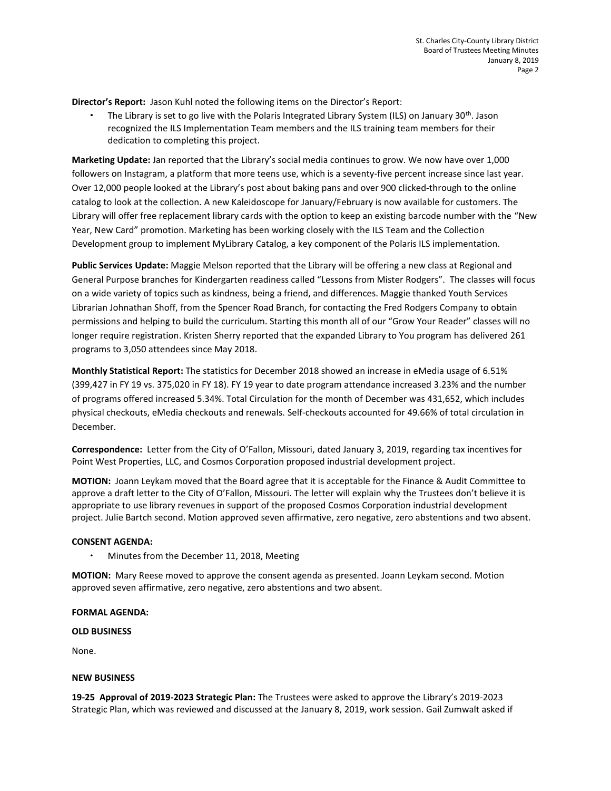**Director's Report:** Jason Kuhl noted the following items on the Director's Report:

• The Library is set to go live with the Polaris Integrated Library System (ILS) on January 30<sup>th</sup>. Jason recognized the ILS Implementation Team members and the ILS training team members for their dedication to completing this project.

**Marketing Update:** Jan reported that the Library's social media continues to grow. We now have over 1,000 followers on Instagram, a platform that more teens use, which is a seventy-five percent increase since last year. Over 12,000 people looked at the Library's post about baking pans and over 900 clicked-through to the online catalog to look at the collection. A new Kaleidoscope for January/February is now available for customers. The Library will offer free replacement library cards with the option to keep an existing barcode number with the "New Year, New Card" promotion. Marketing has been working closely with the ILS Team and the Collection Development group to implement MyLibrary Catalog, a key component of the Polaris ILS implementation.

**Public Services Update:** Maggie Melson reported that the Library will be offering a new class at Regional and General Purpose branches for Kindergarten readiness called "Lessons from Mister Rodgers". The classes will focus on a wide variety of topics such as kindness, being a friend, and differences. Maggie thanked Youth Services Librarian Johnathan Shoff, from the Spencer Road Branch, for contacting the Fred Rodgers Company to obtain permissions and helping to build the curriculum. Starting this month all of our "Grow Your Reader" classes will no longer require registration. Kristen Sherry reported that the expanded Library to You program has delivered 261 programs to 3,050 attendees since May 2018.

**Monthly Statistical Report:** The statistics for December 2018 showed an increase in eMedia usage of 6.51% (399,427 in FY 19 vs. 375,020 in FY 18). FY 19 year to date program attendance increased 3.23% and the number of programs offered increased 5.34%. Total Circulation for the month of December was 431,652, which includes physical checkouts, eMedia checkouts and renewals. Self-checkouts accounted for 49.66% of total circulation in December.

**Correspondence:** Letter from the City of O'Fallon, Missouri, dated January 3, 2019, regarding tax incentives for Point West Properties, LLC, and Cosmos Corporation proposed industrial development project.

**MOTION:** Joann Leykam moved that the Board agree that it is acceptable for the Finance & Audit Committee to approve a draft letter to the City of O'Fallon, Missouri. The letter will explain why the Trustees don't believe it is appropriate to use library revenues in support of the proposed Cosmos Corporation industrial development project. Julie Bartch second. Motion approved seven affirmative, zero negative, zero abstentions and two absent.

## **CONSENT AGENDA:**

Minutes from the December 11, 2018, Meeting

**MOTION:** Mary Reese moved to approve the consent agenda as presented. Joann Leykam second. Motion approved seven affirmative, zero negative, zero abstentions and two absent.

#### **FORMAL AGENDA:**

**OLD BUSINESS**

None.

#### **NEW BUSINESS**

**19-25 Approval of 2019-2023 Strategic Plan:** The Trustees were asked to approve the Library's 2019-2023 Strategic Plan, which was reviewed and discussed at the January 8, 2019, work session. Gail Zumwalt asked if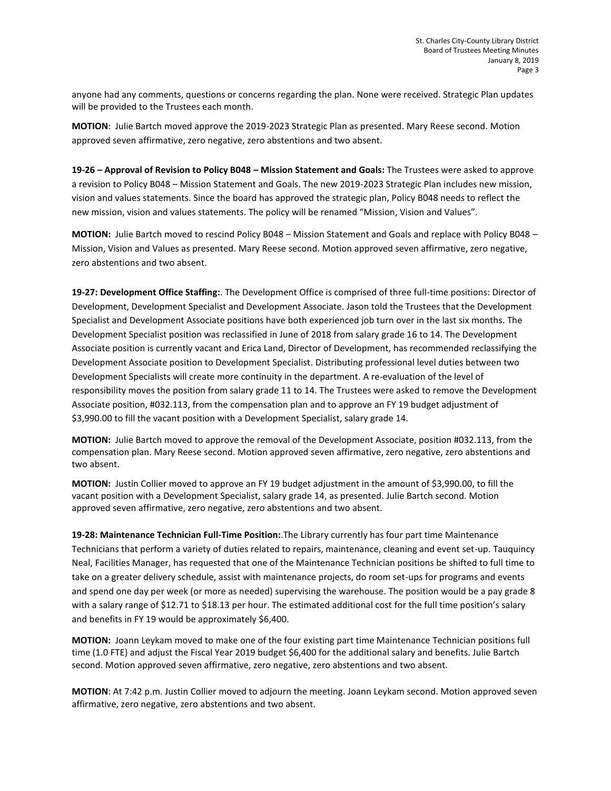anyone had any comments, questions or concerns regarding the plan. None were received. Strategic Plan updates will be provided to the Trustees each month.

**MOTION**: Julie Bartch moved approve the 2019-2023 Strategic Plan as presented. Mary Reese second. Motion approved seven affirmative, zero negative, zero abstentions and two absent.

**19-26 – Approval of Revision to Policy B048 – Mission Statement and Goals:** The Trustees were asked to approve a revision to Policy B048 – Mission Statement and Goals. The new 2019-2023 Strategic Plan includes new mission, vision and values statements. Since the board has approved the strategic plan, Policy B048 needs to reflect the new mission, vision and values statements. The policy will be renamed "Mission, Vision and Values".

**MOTION:** Julie Bartch moved to rescind Policy B048 – Mission Statement and Goals and replace with Policy B048 – Mission, Vision and Values as presented. Mary Reese second. Motion approved seven affirmative, zero negative, zero abstentions and two absent.

**19-27: Development Office Staffing:**. The Development Office is comprised of three full-time positions: Director of Development, Development Specialist and Development Associate. Jason told the Trustees that the Development Specialist and Development Associate positions have both experienced job turn over in the last six months. The Development Specialist position was reclassified in June of 2018 from salary grade 16 to 14. The Development Associate position is currently vacant and Erica Land, Director of Development, has recommended reclassifying the Development Associate position to Development Specialist. Distributing professional level duties between two Development Specialists will create more continuity in the department. A re-evaluation of the level of responsibility moves the position from salary grade 11 to 14. The Trustees were asked to remove the Development Associate position, #032.113, from the compensation plan and to approve an FY 19 budget adjustment of \$3,990.00 to fill the vacant position with a Development Specialist, salary grade 14.

**MOTION:** Julie Bartch moved to approve the removal of the Development Associate, position #032.113, from the compensation plan. Mary Reese second. Motion approved seven affirmative, zero negative, zero abstentions and two absent.

**MOTION:** Justin Collier moved to approve an FY 19 budget adjustment in the amount of \$3,990.00, to fill the vacant position with a Development Specialist, salary grade 14, as presented. Julie Bartch second. Motion approved seven affirmative, zero negative, zero abstentions and two absent.

**19-28: Maintenance Technician Full-Time Position:**.The Library currently has four part time Maintenance Technicians that perform a variety of duties related to repairs, maintenance, cleaning and event set-up. Tauquincy Neal, Facilities Manager, has requested that one of the Maintenance Technician positions be shifted to full time to take on a greater delivery schedule, assist with maintenance projects, do room set-ups for programs and events and spend one day per week (or more as needed) supervising the warehouse. The position would be a pay grade 8 with a salary range of \$12.71 to \$18.13 per hour. The estimated additional cost for the full time position's salary and benefits in FY 19 would be approximately \$6,400.

**MOTION:** Joann Leykam moved to make one of the four existing part time Maintenance Technician positions full time (1.0 FTE) and adjust the Fiscal Year 2019 budget \$6,400 for the additional salary and benefits. Julie Bartch second. Motion approved seven affirmative, zero negative, zero abstentions and two absent.

**MOTION**: At 7:42 p.m. Justin Collier moved to adjourn the meeting. Joann Leykam second. Motion approved seven affirmative, zero negative, zero abstentions and two absent.